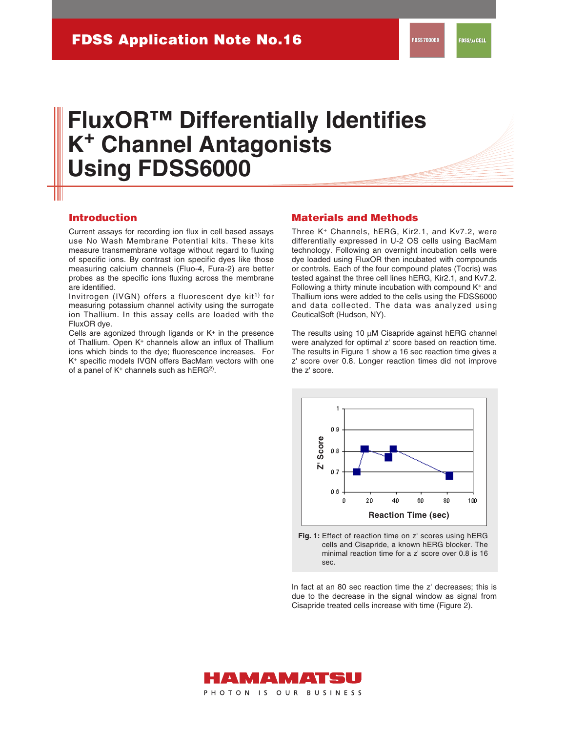# **FluxOR™ Differentially Identifies K+ Channel Antagonists Using FDSS6000**

## **Introduction**

Current assays for recording ion flux in cell based assays use No Wash Membrane Potential kits. These kits measure transmembrane voltage without regard to fluxing of specific ions. By contrast ion specific dyes like those measuring calcium channels (Fluo-4, Fura-2) are better probes as the specific ions fluxing across the membrane are identified.

Invitrogen (IVGN) offers a fluorescent dye kit<sup>1)</sup> for measuring potassium channel activity using the surrogate ion Thallium. In this assay cells are loaded with the FluxOR dye.

Cells are agonized through ligands or  $K^+$  in the presence of Thallium. Open K<sup>+</sup> channels allow an influx of Thallium ions which binds to the dye; fluorescence increases. For K+ specific models IVGN offers BacMam vectors with one of a panel of K<sup>+</sup> channels such as hERG<sup>2)</sup>.

## **Materials and Methods**

Three K+ Channels, hERG, Kir2.1, and Kv7.2, were differentially expressed in U-2 OS cells using BacMam technology. Following an overnight incubation cells were dye loaded using FluxOR then incubated with compounds or controls. Each of the four compound plates (Tocris) was tested against the three cell lines hERG, Kir2.1, and Kv7.2. Following a thirty minute incubation with compound K+ and Thallium ions were added to the cells using the FDSS6000 and data collected. The data was analyzed using CeuticalSoft (Hudson, NY).

The results using 10  $\mu$ M Cisapride against hERG channel were analyzed for optimal z' score based on reaction time. The results in Figure 1 show a 16 sec reaction time gives a z' score over 0.8. Longer reaction times did not improve the z' score.



Fig. 1: Effect of reaction time on z' scores using hERG cells and Cisapride, a known hERG blocker. The minimal reaction time for a z' score over 0.8 is 16 sec.

In fact at an 80 sec reaction time the z' decreases; this is due to the decrease in the signal window as signal from Cisapride treated cells increase with time (Figure 2).